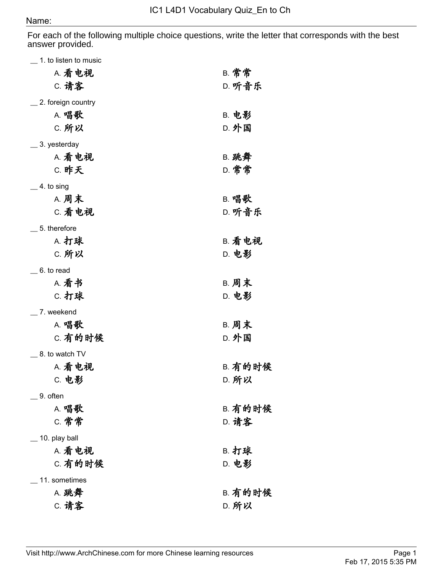## Name:

For each of the following multiple choice questions, write the letter that corresponds with the best answer provided.

| $\_$ 1. to listen to music |                |
|----------------------------|----------------|
| A. 看电视                     | <b>B. 常常</b>   |
| <b>C. 请客</b>               | D. 听音乐         |
| _2. foreign country        |                |
| A. 唱歌                      | <b>B. 电影</b>   |
| C. 所以                      | <b>D. 外国</b>   |
|                            |                |
| __ 3. yesterday            |                |
| A. 看电视                     | <b>B. 跳舞</b>   |
| <b>C. 昨天</b>               | D. 常常          |
| $\_$ 4. to sing            |                |
| <b>A. 周末</b>               | B. 唱歌          |
| C. 看电视                     | D. 听音乐         |
| $\_ 5$ . therefore         |                |
| A. 打球                      | B. 看电视         |
|                            |                |
| C. 所以                      | D. 电影          |
| $\_$ 6. to read            |                |
| A. 看书                      | <b>B. 周末</b>   |
| C. 打球                      | <b>D. 电影</b>   |
| _7. weekend                |                |
| <b>A. 唱歌</b>               | <b>B. 周末</b>   |
| C. 有的时候                    | <b>D. 外国</b>   |
| _ 8. to watch TV           |                |
| A. 看电视                     | <b>B. 有的时候</b> |
|                            |                |
| <b>C. 电影</b>               | <b>D. 所以</b>   |
| $\_$ 9. often              |                |
| A. 唱歌                      | <b>B. 有的时候</b> |
| <b>C. 常常</b>               | D. 请客          |
| $\_$ 10. play ball         |                |
| A. 看电视                     | B. 打球          |
| C. 有的时候                    | D. 电影          |
| 11. sometimes              |                |
|                            |                |
| A. 跳舞                      | <b>B. 有的时候</b> |
| C. 请客                      | <b>D. 所以</b>   |